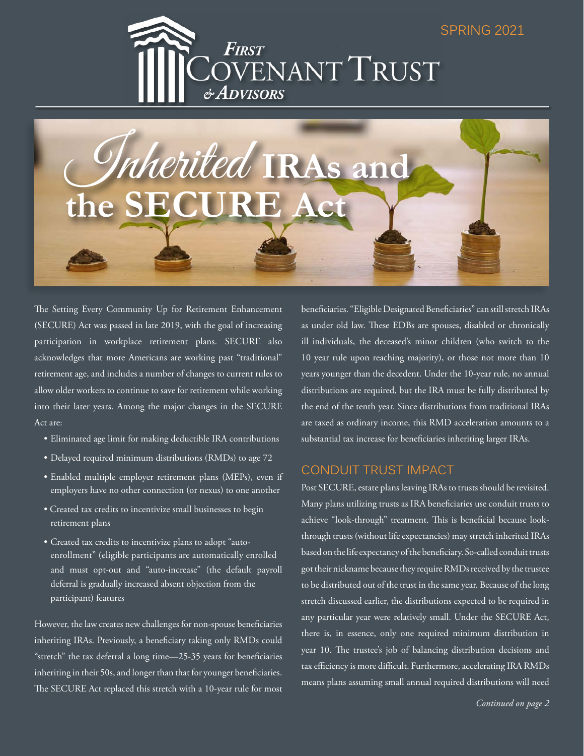

Inherited **IRAs and the SECURE Act**

The Setting Every Community Up for Retirement Enhancement (SECURE) Act was passed in late 2019, with the goal of increasing participation in workplace retirement plans. SECURE also acknowledges that more Americans are working past "traditional" retirement age, and includes a number of changes to current rules to allow older workers to continue to save for retirement while working into their later years. Among the major changes in the SECURE Act are:

- Eliminated age limit for making deductible IRA contributions
- Delayed required minimum distributions (RMDs) to age 72
- Enabled multiple employer retirement plans (MEPs), even if employers have no other connection (or nexus) to one another
- Created tax credits to incentivize small businesses to begin retirement plans
- Created tax credits to incentivize plans to adopt "auto enrollment" (eligible participants are automatically enrolled and must opt-out and "auto-increase" (the default payroll deferral is gradually increased absent objection from the participant) features

However, the law creates new challenges for non-spouse beneficiaries inheriting IRAs. Previously, a beneficiary taking only RMDs could "stretch" the tax deferral a long time—25-35 years for beneficiaries inheriting in their 50s, and longer than that for younger beneficiaries. The SECURE Act replaced this stretch with a 10-year rule for most beneficiaries. "Eligible Designated Beneficiaries" can still stretch IRAs as under old law. These EDBs are spouses, disabled or chronically ill individuals, the deceased's minor children (who switch to the 10 year rule upon reaching majority), or those not more than 10 years younger than the decedent. Under the 10-year rule, no annual distributions are required, but the IRA must be fully distributed by the end of the tenth year. Since distributions from traditional IRAs are taxed as ordinary income, this RMD acceleration amounts to a substantial tax increase for beneficiaries inheriting larger IRAs.

## CONDUIT TRUST IMPACT

Post SECURE, estate plans leaving IRAs to trusts should be revisited. Many plans utilizing trusts as IRA beneficiaries use conduit trusts to achieve "look-through" treatment. This is beneficial because lookthrough trusts (without life expectancies) may stretch inherited IRAs based on the life expectancy of the beneficiary. So-called conduit trusts got their nickname because they require RMDs received by the trustee to be distributed out of the trust in the same year. Because of the long stretch discussed earlier, the distributions expected to be required in any particular year were relatively small. Under the SECURE Act, there is, in essence, only one required minimum distribution in year 10. The trustee's job of balancing distribution decisions and tax efficiency is more difficult. Furthermore, accelerating IRA RMDs means plans assuming small annual required distributions will need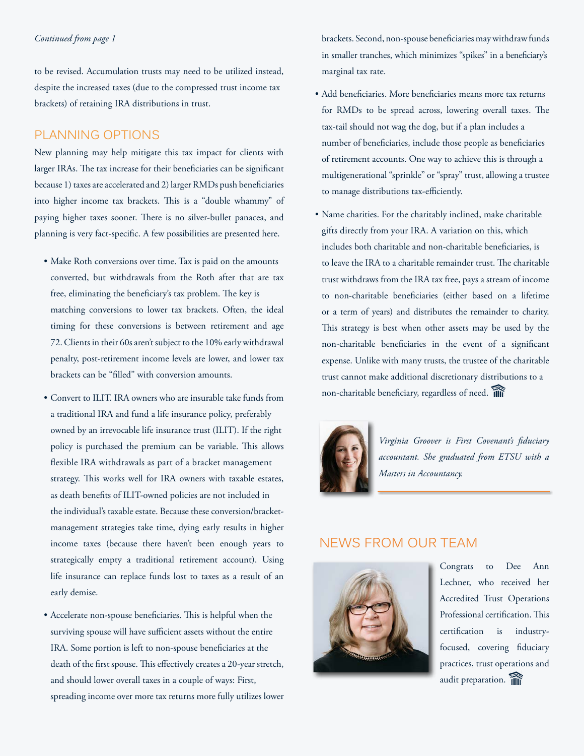#### *Continued from page 1*

to be revised. Accumulation trusts may need to be utilized instead, despite the increased taxes (due to the compressed trust income tax brackets) of retaining IRA distributions in trust.

#### PLANNING OPTIONS

New planning may help mitigate this tax impact for clients with larger IRAs. The tax increase for their beneficiaries can be significant because 1) taxes are accelerated and 2) larger RMDs push beneficiaries into higher income tax brackets. This is a "double whammy" of paying higher taxes sooner. There is no silver-bullet panacea, and planning is very fact-specific. A few possibilities are presented here.

- Make Roth conversions over time. Tax is paid on the amounts converted, but withdrawals from the Roth after that are tax free, eliminating the beneficiary's tax problem. The key is matching conversions to lower tax brackets. Often, the ideal timing for these conversions is between retirement and age 72. Clients in their 60s aren't subject to the 10% early withdrawal penalty, post-retirement income levels are lower, and lower tax brackets can be "filled" with conversion amounts.
- Convert to ILIT. IRA owners who are insurable take funds from a traditional IRA and fund a life insurance policy, preferably owned by an irrevocable life insurance trust (ILIT). If the right policy is purchased the premium can be variable. This allows flexible IRA withdrawals as part of a bracket management strategy. This works well for IRA owners with taxable estates, as death benefits of ILIT-owned policies are not included in the individual's taxable estate. Because these conversion/bracket management strategies take time, dying early results in higher income taxes (because there haven't been enough years to strategically empty a traditional retirement account). Using life insurance can replace funds lost to taxes as a result of an early demise.
- Accelerate non-spouse beneficiaries. This is helpful when the surviving spouse will have sufficient assets without the entire IRA. Some portion is left to non-spouse beneficiaries at the death of the first spouse. This effectively creates a 20-year stretch, and should lower overall taxes in a couple of ways: First, spreading income over more tax returns more fully utilizes lower

 brackets. Second, non-spouse beneficiaries may withdraw funds in smaller tranches, which minimizes "spikes" in a beneficiary's marginal tax rate.

- Add beneficiaries. More beneficiaries means more tax returns for RMDs to be spread across, lowering overall taxes. The tax-tail should not wag the dog, but if a plan includes a number of beneficiaries, include those people as beneficiaries of retirement accounts. One way to achieve this is through a multigenerational "sprinkle" or "spray" trust, allowing a trustee to manage distributions tax-efficiently.
- Name charities. For the charitably inclined, make charitable gifts directly from your IRA. A variation on this, which includes both charitable and non-charitable beneficiaries, is to leave the IRA to a charitable remainder trust. The charitable trust withdraws from the IRA tax free, pays a stream of income to non-charitable beneficiaries (either based on a lifetime or a term of years) and distributes the remainder to charity. This strategy is best when other assets may be used by the non-charitable beneficiaries in the event of a significant expense. Unlike with many trusts, the trustee of the charitable trust cannot make additional discretionary distributions to a non-charitable beneficiary, regardless of need.



*Virginia Groover is First Covenant's fiduciary accountant. She graduated from ETSU with a Masters in Accountancy.*

# NEWS FROM OUR TEAM



Congrats to Dee Ann Lechner, who received her Accredited Trust Operations Professional certification. This certification is industryfocused, covering fiduciary practices, trust operations and audit preparation.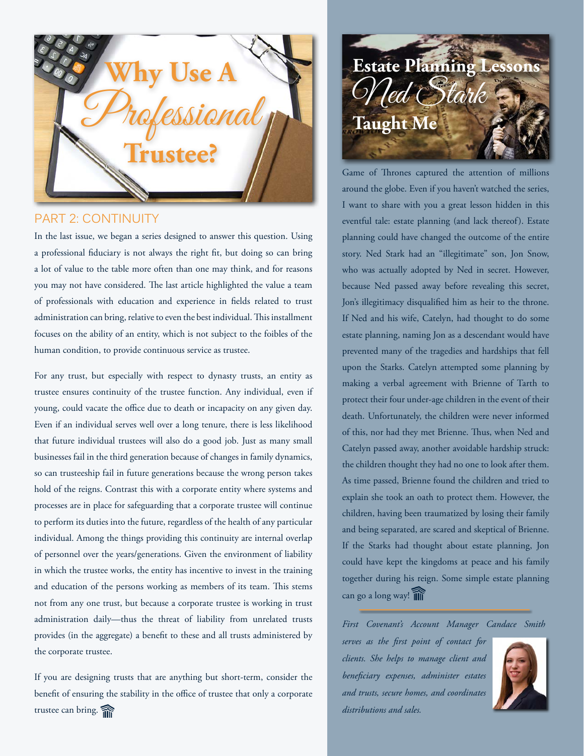

## PART 2: CONTINUITY

In the last issue, we began a series designed to answer this question. Using a professional fiduciary is not always the right fit, but doing so can bring a lot of value to the table more often than one may think, and for reasons you may not have considered. The last article highlighted the value a team of professionals with education and experience in fields related to trust administration can bring, relative to even the best individual. This installment focuses on the ability of an entity, which is not subject to the foibles of the human condition, to provide continuous service as trustee.

For any trust, but especially with respect to dynasty trusts, an entity as trustee ensures continuity of the trustee function. Any individual, even if young, could vacate the office due to death or incapacity on any given day. Even if an individual serves well over a long tenure, there is less likelihood that future individual trustees will also do a good job. Just as many small businesses fail in the third generation because of changes in family dynamics, so can trusteeship fail in future generations because the wrong person takes hold of the reigns. Contrast this with a corporate entity where systems and processes are in place for safeguarding that a corporate trustee will continue to perform its duties into the future, regardless of the health of any particular individual. Among the things providing this continuity are internal overlap of personnel over the years/generations. Given the environment of liability in which the trustee works, the entity has incentive to invest in the training and education of the persons working as members of its team. This stems not from any one trust, but because a corporate trustee is working in trust administration daily—thus the threat of liability from unrelated trusts provides (in the aggregate) a benefit to these and all trusts administered by the corporate trustee.

If you are designing trusts that are anything but short-term, consider the benefit of ensuring the stability in the office of trustee that only a corporate trustee can bring.



Game of Thrones captured the attention of millions around the globe. Even if you haven't watched the series, I want to share with you a great lesson hidden in this eventful tale: estate planning (and lack thereof). Estate planning could have changed the outcome of the entire story. Ned Stark had an "illegitimate" son, Jon Snow, who was actually adopted by Ned in secret. However, because Ned passed away before revealing this secret, Jon's illegitimacy disqualified him as heir to the throne. If Ned and his wife, Catelyn, had thought to do some estate planning, naming Jon as a descendant would have prevented many of the tragedies and hardships that fell upon the Starks. Catelyn attempted some planning by making a verbal agreement with Brienne of Tarth to protect their four under-age children in the event of their death. Unfortunately, the children were never informed of this, nor had they met Brienne. Thus, when Ned and Catelyn passed away, another avoidable hardship struck: the children thought they had no one to look after them. As time passed, Brienne found the children and tried to explain she took an oath to protect them. However, the children, having been traumatized by losing their family and being separated, are scared and skeptical of Brienne. If the Starks had thought about estate planning, Jon could have kept the kingdoms at peace and his family together during his reign. Some simple estate planning can go a long way!

*First Covenant's Account Manager Candace Smith* 

*serves as the first point of contact for clients. She helps to manage client and beneficiary expenses, administer estates and trusts, secure homes, and coordinates distributions and sales.*